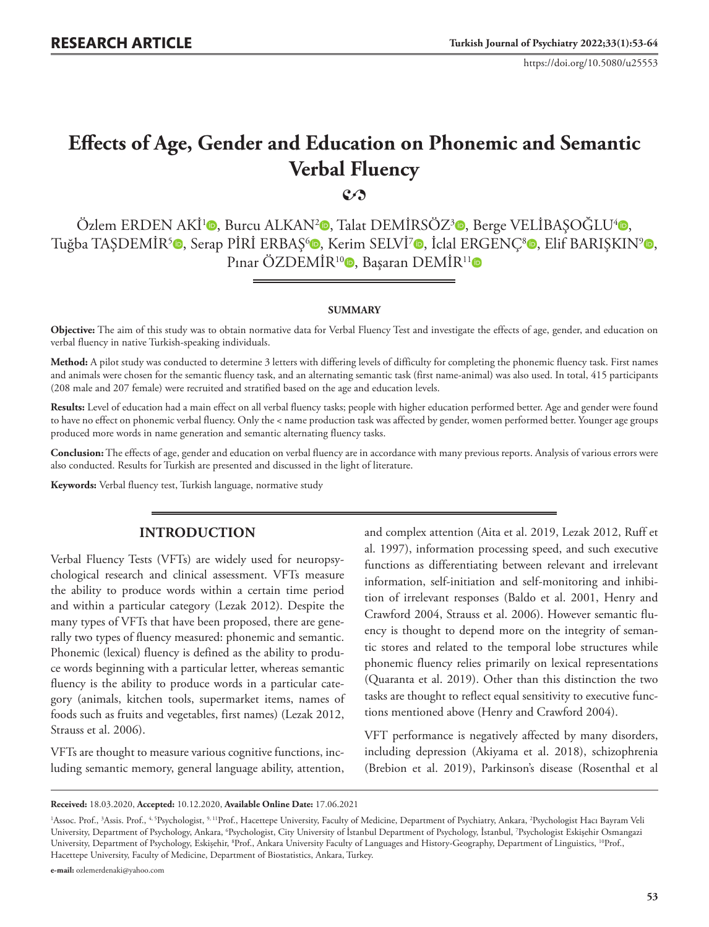# **Effects of Age, Gender and Education on Phonemic and Semantic Verbal Fluency**

**2** 

Özlem ERDEN AKİ<sup>1</sup><sup>0</sup>, Burcu ALKAN<sup>[2](https://orcid.org/0000-0001-5293-8867)</sup><sup>0</sup>[,](https://orcid.org/0000-0002-7281-5028) Talat DEMİRSÖZ<sup>3</sup><sup>0</sup>, Berge VELİBAŞOĞLU<sup>4</sup>0, Tuğba TAŞDEMİR<sup>5</sup><sup>®</sup>[,](https://orcid.org/0000-0002-4308-4449) Serap PİRİ ERBAŞ<sup>[6](https://orcid.org/0000-0001-7479-1317)</sup>®, Kerim SELVİ<sup>7</sup>®, İclal ERGENÇ<sup>[8](https://orcid.org/0000-0003-0380-9844)</sup>®, Elif BARIŞKIN<sup>9</sup>®, Pınar ÖZDEMİR<sup>10</sup><sup>0</sup>[,](https://orcid.org/0000-0001-6594-3200) Başaran DEMİR<sup>[1](https://orcid.org/0000-0002-7494-7075)1</sup><sup>0</sup>

#### **SUMMARY**

**Objective:** The aim of this study was to obtain normative data for Verbal Fluency Test and investigate the effects of age, gender, and education on verbal fluency in native Turkish-speaking individuals.

**Method:** A pilot study was conducted to determine 3 letters with differing levels of difficulty for completing the phonemic fluency task. First names and animals were chosen for the semantic fluency task, and an alternating semantic task (first name-animal) was also used. In total, 415 participants (208 male and 207 female) were recruited and stratified based on the age and education levels.

**Results:** Level of education had a main effect on all verbal fluency tasks; people with higher education performed better. Age and gender were found to have no effect on phonemic verbal fluency. Only the < name production task was affected by gender, women performed better. Younger age groups produced more words in name generation and semantic alternating fluency tasks.

**Conclusion:** The effects of age, gender and education on verbal fluency are in accordance with many previous reports. Analysis of various errors were also conducted. Results for Turkish are presented and discussed in the light of literature.

**Keywords:** Verbal fluency test, Turkish language, normative study

## **INTRODUCTION**

Verbal Fluency Tests (VFTs) are widely used for neuropsychological research and clinical assessment. VFTs measure the ability to produce words within a certain time period and within a particular category (Lezak 2012). Despite the many types of VFTs that have been proposed, there are generally two types of fluency measured: phonemic and semantic. Phonemic (lexical) fluency is defined as the ability to produce words beginning with a particular letter, whereas semantic fluency is the ability to produce words in a particular category (animals, kitchen tools, supermarket items, names of foods such as fruits and vegetables, first names) (Lezak 2012, Strauss et al. 2006).

VFTs are thought to measure various cognitive functions, including semantic memory, general language ability, attention,

and complex attention (Aita et al. 2019, Lezak 2012, Ruff et al. 1997), information processing speed, and such executive functions as differentiating between relevant and irrelevant information, self-initiation and self-monitoring and inhibition of irrelevant responses (Baldo et al. 2001, Henry and Crawford 2004, Strauss et al. 2006). However semantic fluency is thought to depend more on the integrity of semantic stores and related to the temporal lobe structures while phonemic fluency relies primarily on lexical representations (Quaranta et al. 2019). Other than this distinction the two tasks are thought to reflect equal sensitivity to executive functions mentioned above (Henry and Crawford 2004).

VFT performance is negatively affected by many disorders, including depression (Akiyama et al. 2018), schizophrenia (Brebion et al. 2019), Parkinson's disease (Rosenthal et al

**Received:** 18.03.2020, **Accepted:** 10.12.2020, **Available Online Date:** 17.06.2021

<sup>&</sup>lt;sup>1</sup>Assoc. Prof., <sup>3</sup>Assis. Prof., <sup>4.5</sup>Psychologist, <sup>9.11</sup>Prof., Hacettepe University, Faculty of Medicine, Department of Psychiatry, Ankara, <sup>2</sup>Psychologist Hacı Bayram Veli University, Department of Psychology, Ankara, 'Psychologist, City University of İstanbul Department of Psychology, İstanbul, <sup>7</sup>Psychologist Eskişehir Osmangazi University, Department of Psychology, Eskişehir, <sup>8</sup>Prof., Ankara University Faculty of Languages and History-Geography, Department of Linguistics, <sup>10</sup>Prof., Hacettepe University, Faculty of Medicine, Department of Biostatistics, Ankara, Turkey.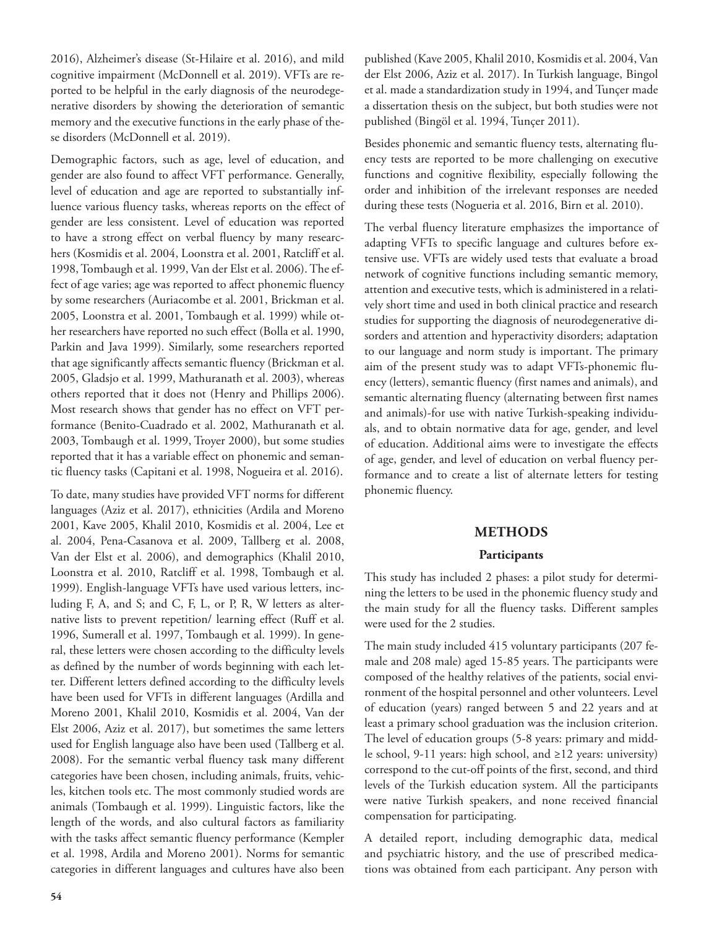2016), Alzheimer's disease (St-Hilaire et al. 2016), and mild cognitive impairment (McDonnell et al. 2019). VFTs are reported to be helpful in the early diagnosis of the neurodegenerative disorders by showing the deterioration of semantic memory and the executive functions in the early phase of these disorders (McDonnell et al. 2019).

Demographic factors, such as age, level of education, and gender are also found to affect VFT performance. Generally, level of education and age are reported to substantially influence various fluency tasks, whereas reports on the effect of gender are less consistent. Level of education was reported to have a strong effect on verbal fluency by many researchers (Kosmidis et al. 2004, Loonstra et al. 2001, Ratcliff et al. 1998, Tombaugh et al. 1999, Van der Elst et al. 2006). The effect of age varies; age was reported to affect phonemic fluency by some researchers (Auriacombe et al. 2001, Brickman et al. 2005, Loonstra et al. 2001, Tombaugh et al. 1999) while other researchers have reported no such effect (Bolla et al. 1990, Parkin and Java 1999). Similarly, some researchers reported that age significantly affects semantic fluency (Brickman et al. 2005, Gladsjo et al. 1999, Mathuranath et al. 2003), whereas others reported that it does not (Henry and Phillips 2006). Most research shows that gender has no effect on VFT performance (Benito-Cuadrado et al. 2002, Mathuranath et al. 2003, Tombaugh et al. 1999, Troyer 2000), but some studies reported that it has a variable effect on phonemic and semantic fluency tasks (Capitani et al. 1998, Nogueira et al. 2016).

To date, many studies have provided VFT norms for different languages (Aziz et al. 2017), ethnicities (Ardila and Moreno 2001, Kave 2005, Khalil 2010, Kosmidis et al. 2004, Lee et al. 2004, Pena-Casanova et al. 2009, Tallberg et al. 2008, Van der Elst et al. 2006), and demographics (Khalil 2010, Loonstra et al. 2010, Ratcliff et al. 1998, Tombaugh et al. 1999). English-language VFTs have used various letters, including F, A, and S; and C, F, L, or P, R, W letters as alternative lists to prevent repetition/ learning effect (Ruff et al. 1996, Sumerall et al. 1997, Tombaugh et al. 1999). In general, these letters were chosen according to the difficulty levels as defined by the number of words beginning with each letter. Different letters defined according to the difficulty levels have been used for VFTs in different languages (Ardilla and Moreno 2001, Khalil 2010, Kosmidis et al. 2004, Van der Elst 2006, Aziz et al. 2017), but sometimes the same letters used for English language also have been used (Tallberg et al. 2008). For the semantic verbal fluency task many different categories have been chosen, including animals, fruits, vehicles, kitchen tools etc. The most commonly studied words are animals (Tombaugh et al. 1999). Linguistic factors, like the length of the words, and also cultural factors as familiarity with the tasks affect semantic fluency performance (Kempler et al. 1998, Ardila and Moreno 2001). Norms for semantic categories in different languages and cultures have also been

published (Kave 2005, Khalil 2010, Kosmidis et al. 2004, Van der Elst 2006, Aziz et al. 2017). In Turkish language, Bingol et al. made a standardization study in 1994, and Tunçer made a dissertation thesis on the subject, but both studies were not published (Bingöl et al. 1994, Tunçer 2011).

Besides phonemic and semantic fluency tests, alternating fluency tests are reported to be more challenging on executive functions and cognitive flexibility, especially following the order and inhibition of the irrelevant responses are needed during these tests (Nogueria et al. 2016, Birn et al. 2010).

The verbal fluency literature emphasizes the importance of adapting VFTs to specific language and cultures before extensive use. VFTs are widely used tests that evaluate a broad network of cognitive functions including semantic memory, attention and executive tests, which is administered in a relatively short time and used in both clinical practice and research studies for supporting the diagnosis of neurodegenerative disorders and attention and hyperactivity disorders; adaptation to our language and norm study is important. The primary aim of the present study was to adapt VFTs-phonemic fluency (letters), semantic fluency (first names and animals), and semantic alternating fluency (alternating between first names and animals)-for use with native Turkish-speaking individuals, and to obtain normative data for age, gender, and level of education. Additional aims were to investigate the effects of age, gender, and level of education on verbal fluency performance and to create a list of alternate letters for testing phonemic fluency.

## **METHODS**

## **Participants**

This study has included 2 phases: a pilot study for determining the letters to be used in the phonemic fluency study and the main study for all the fluency tasks. Different samples were used for the 2 studies.

The main study included 415 voluntary participants (207 female and 208 male) aged 15-85 years. The participants were composed of the healthy relatives of the patients, social environment of the hospital personnel and other volunteers. Level of education (years) ranged between 5 and 22 years and at least a primary school graduation was the inclusion criterion. The level of education groups (5-8 years: primary and middle school, 9-11 years: high school, and ≥12 years: university) correspond to the cut-off points of the first, second, and third levels of the Turkish education system. All the participants were native Turkish speakers, and none received financial compensation for participating.

A detailed report, including demographic data, medical and psychiatric history, and the use of prescribed medications was obtained from each participant. Any person with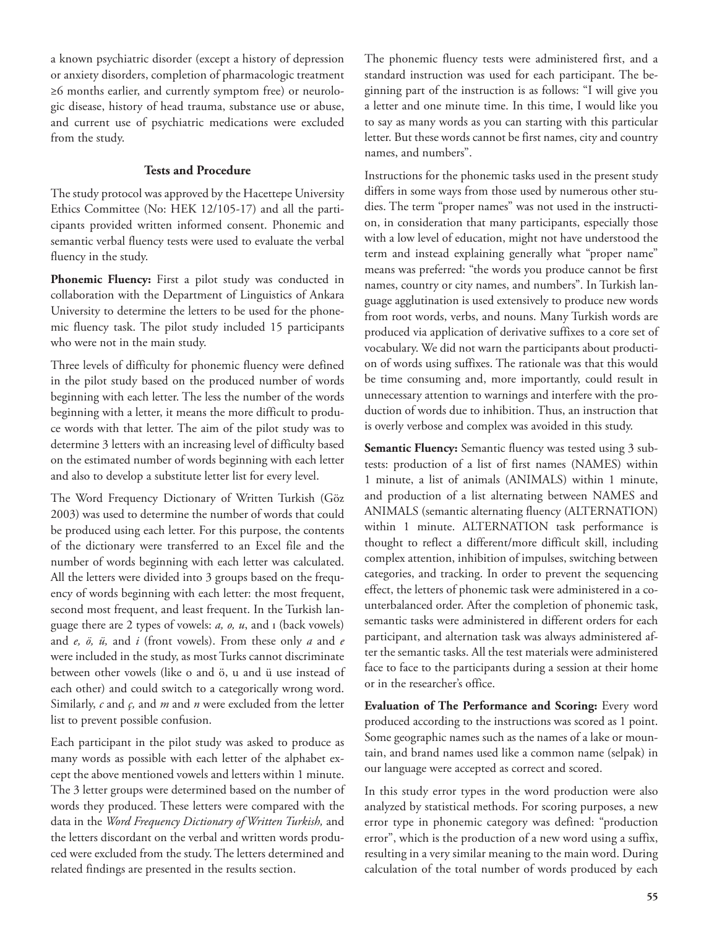a known psychiatric disorder (except a history of depression or anxiety disorders, completion of pharmacologic treatment ≥6 months earlier, and currently symptom free) or neurologic disease, history of head trauma, substance use or abuse, and current use of psychiatric medications were excluded from the study.

## **Tests and Procedure**

The study protocol was approved by the Hacettepe University Ethics Committee (No: HEK 12/105-17) and all the participants provided written informed consent. Phonemic and semantic verbal fluency tests were used to evaluate the verbal fluency in the study.

Phonemic Fluency: First a pilot study was conducted in collaboration with the Department of Linguistics of Ankara University to determine the letters to be used for the phonemic fluency task. The pilot study included 15 participants who were not in the main study.

Three levels of difficulty for phonemic fluency were defined in the pilot study based on the produced number of words beginning with each letter. The less the number of the words beginning with a letter, it means the more difficult to produce words with that letter. The aim of the pilot study was to determine 3 letters with an increasing level of difficulty based on the estimated number of words beginning with each letter and also to develop a substitute letter list for every level.

The Word Frequency Dictionary of Written Turkish (Göz 2003) was used to determine the number of words that could be produced using each letter. For this purpose, the contents of the dictionary were transferred to an Excel file and the number of words beginning with each letter was calculated. All the letters were divided into 3 groups based on the frequency of words beginning with each letter: the most frequent, second most frequent, and least frequent. In the Turkish language there are 2 types of vowels: *a, o, u*, and ı (back vowels) and *e, ö, ü,* and *i* (front vowels). From these only *a* and *e* were included in the study, as most Turks cannot discriminate between other vowels (like o and ö, u and ü use instead of each other) and could switch to a categorically wrong word. Similarly, *c* and *ç,* and *m* and *n* were excluded from the letter list to prevent possible confusion.

Each participant in the pilot study was asked to produce as many words as possible with each letter of the alphabet except the above mentioned vowels and letters within 1 minute. The 3 letter groups were determined based on the number of words they produced. These letters were compared with the data in the *Word Frequency Dictionary of Written Turkish,* and the letters discordant on the verbal and written words produced were excluded from the study. The letters determined and related findings are presented in the results section.

The phonemic fluency tests were administered first, and a standard instruction was used for each participant. The beginning part of the instruction is as follows: "I will give you a letter and one minute time. In this time, I would like you to say as many words as you can starting with this particular letter. But these words cannot be first names, city and country names, and numbers".

Instructions for the phonemic tasks used in the present study differs in some ways from those used by numerous other studies. The term "proper names" was not used in the instruction, in consideration that many participants, especially those with a low level of education, might not have understood the term and instead explaining generally what "proper name" means was preferred: "the words you produce cannot be first names, country or city names, and numbers". In Turkish language agglutination is used extensively to produce new words from root words, verbs, and nouns. Many Turkish words are produced via application of derivative suffixes to a core set of vocabulary. We did not warn the participants about production of words using suffixes. The rationale was that this would be time consuming and, more importantly, could result in unnecessary attention to warnings and interfere with the production of words due to inhibition. Thus, an instruction that is overly verbose and complex was avoided in this study.

**Semantic Fluency:** Semantic fluency was tested using 3 subtests: production of a list of first names (NAMES) within 1 minute, a list of animals (ANIMALS) within 1 minute, and production of a list alternating between NAMES and ANIMALS (semantic alternating fluency (ALTERNATION) within 1 minute. ALTERNATION task performance is thought to reflect a different/more difficult skill, including complex attention, inhibition of impulses, switching between categories, and tracking. In order to prevent the sequencing effect, the letters of phonemic task were administered in a counterbalanced order. After the completion of phonemic task, semantic tasks were administered in different orders for each participant, and alternation task was always administered after the semantic tasks. All the test materials were administered face to face to the participants during a session at their home or in the researcher's office.

**Evaluation of The Performance and Scoring:** Every word produced according to the instructions was scored as 1 point. Some geographic names such as the names of a lake or mountain, and brand names used like a common name (selpak) in our language were accepted as correct and scored.

In this study error types in the word production were also analyzed by statistical methods. For scoring purposes, a new error type in phonemic category was defined: "production error", which is the production of a new word using a suffix, resulting in a very similar meaning to the main word. During calculation of the total number of words produced by each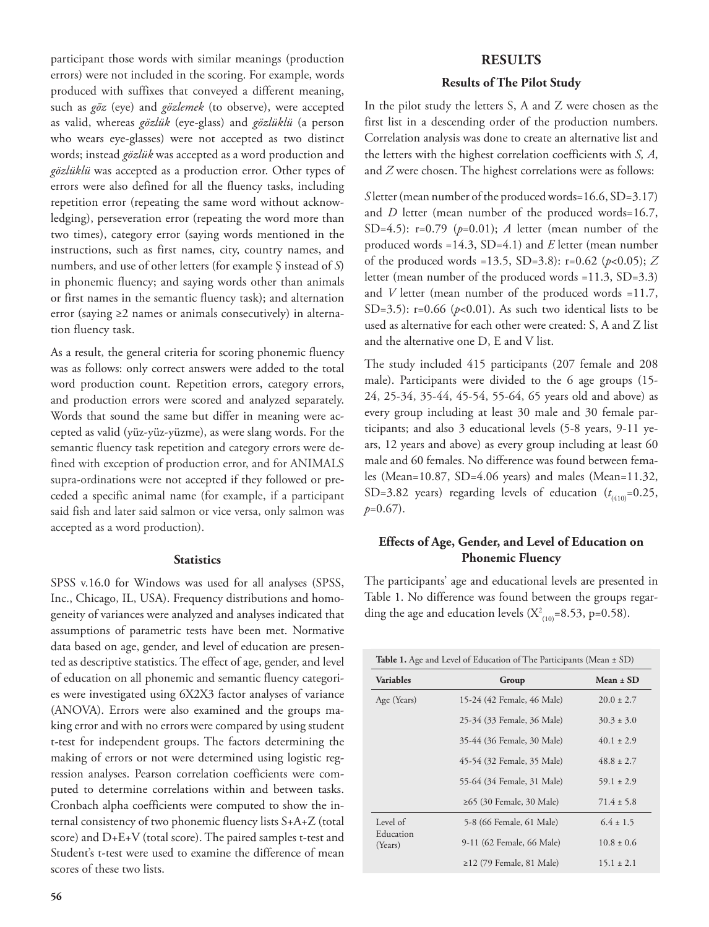participant those words with similar meanings (production errors) were not included in the scoring. For example, words produced with suffixes that conveyed a different meaning, such as *göz* (eye) and *gözlemek* (to observe), were accepted as valid, whereas *gözlük* (eye-glass) and *gözlüklü* (a person who wears eye-glasses) were not accepted as two distinct words; instead *gözlük* was accepted as a word production and *gözlüklü* was accepted as a production error. Other types of errors were also defined for all the fluency tasks, including repetition error (repeating the same word without acknowledging), perseveration error (repeating the word more than two times), category error (saying words mentioned in the instructions, such as first names, city, country names, and numbers, and use of other letters (for example Ş instead of *S*) in phonemic fluency; and saying words other than animals or first names in the semantic fluency task); and alternation error (saying ≥2 names or animals consecutively) in alternation fluency task.

As a result, the general criteria for scoring phonemic fluency was as follows: only correct answers were added to the total word production count. Repetition errors, category errors, and production errors were scored and analyzed separately. Words that sound the same but differ in meaning were accepted as valid (yüz-yüz-yüzme), as were slang words. For the semantic fluency task repetition and category errors were defined with exception of production error, and for ANIMALS supra-ordinations were not accepted if they followed or preceded a specific animal name (for example, if a participant said fish and later said salmon or vice versa, only salmon was accepted as a word production).

#### **Statistics**

SPSS v.16.0 for Windows was used for all analyses (SPSS, Inc., Chicago, IL, USA). Frequency distributions and homogeneity of variances were analyzed and analyses indicated that assumptions of parametric tests have been met. Normative data based on age, gender, and level of education are presented as descriptive statistics. The effect of age, gender, and level of education on all phonemic and semantic fluency categories were investigated using 6X2X3 factor analyses of variance (ANOVA). Errors were also examined and the groups making error and with no errors were compared by using student t-test for independent groups. The factors determining the making of errors or not were determined using logistic regression analyses. Pearson correlation coefficients were computed to determine correlations within and between tasks. Cronbach alpha coefficients were computed to show the internal consistency of two phonemic fluency lists S+A+Z (total score) and D+E+V (total score). The paired samples t-test and Student's t-test were used to examine the difference of mean scores of these two lists.

## **RESULTS**

#### **Results of The Pilot Study**

In the pilot study the letters S, A and Z were chosen as the first list in a descending order of the production numbers. Correlation analysis was done to create an alternative list and the letters with the highest correlation coefficients with *S, A*, and *Z* were chosen. The highest correlations were as follows:

*S* letter (mean number of the produced words=16.6, SD=3.17) and *D* letter (mean number of the produced words=16.7, SD=4.5): r=0.79 (*p*=0.01); *A* letter (mean number of the produced words =14.3, SD=4.1) and *E* letter (mean number of the produced words =13.5, SD=3.8): r=0.62 (*p*<0.05); *Z*  letter (mean number of the produced words =11.3, SD=3.3) and *V* letter (mean number of the produced words =11.7, SD=3.5):  $r=0.66$  ( $p<0.01$ ). As such two identical lists to be used as alternative for each other were created: S, A and Z list and the alternative one D, E and V list.

The study included 415 participants (207 female and 208 male). Participants were divided to the 6 age groups (15- 24, 25-34, 35-44, 45-54, 55-64, 65 years old and above) as every group including at least 30 male and 30 female participants; and also 3 educational levels (5-8 years, 9-11 years, 12 years and above) as every group including at least 60 male and 60 females. No difference was found between females (Mean=10.87, SD=4.06 years) and males (Mean=11.32, SD=3.82 years) regarding levels of education  $(t_{(410)}=0.25,$ *p*=0.67).

## **Effects of Age, Gender, and Level of Education on Phonemic Fluency**

The participants' age and educational levels are presented in Table 1. No difference was found between the groups regarding the age and education levels ( $X^2_{(10)}$ =8.53, p=0.58).

| <b>Table 1.</b> Age and Level of Education of The Participants (Mean $\pm$ SD) |                                |                |  |  |  |
|--------------------------------------------------------------------------------|--------------------------------|----------------|--|--|--|
| <b>Variables</b>                                                               | Group                          | $Mean \pm SD$  |  |  |  |
| Age (Years)                                                                    | 15-24 (42 Female, 46 Male)     | $20.0 \pm 2.7$ |  |  |  |
|                                                                                | 25-34 (33 Female, 36 Male)     | $30.3 \pm 3.0$ |  |  |  |
|                                                                                | 35-44 (36 Female, 30 Male)     | $40.1 \pm 2.9$ |  |  |  |
|                                                                                | 45-54 (32 Female, 35 Male)     | $48.8 \pm 2.7$ |  |  |  |
|                                                                                | 55-64 (34 Female, 31 Male)     | $59.1 \pm 2.9$ |  |  |  |
|                                                                                | $\geq$ 65 (30 Female, 30 Male) | $71.4 \pm 5.8$ |  |  |  |
| Level of                                                                       | 5-8 (66 Female, 61 Male)       | $6.4 \pm 1.5$  |  |  |  |
| Education<br>(Years)                                                           | 9-11 (62 Female, 66 Male)      | $10.8 \pm 0.6$ |  |  |  |
|                                                                                | $\geq$ 12 (79 Female, 81 Male) | $15.1 \pm 2.1$ |  |  |  |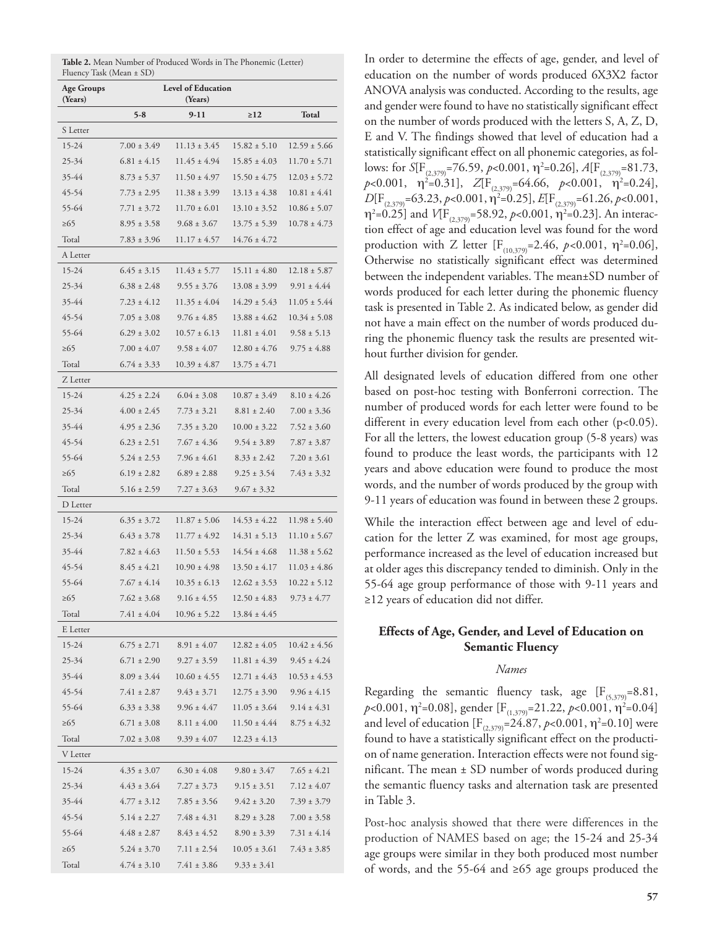**Table 2.** Mean Number of Produced Words in The Phonemic (Letter) Fluency Task (Mean ± SD)

| <b>Age Groups</b> | <b>Level of Education</b> |                  |                  |                  |  |  |  |
|-------------------|---------------------------|------------------|------------------|------------------|--|--|--|
| (Years)           |                           | (Years)          |                  |                  |  |  |  |
|                   | $5 - 8$                   | $9-11$           | $\geq$ 12        | <b>Total</b>     |  |  |  |
| S Letter          |                           |                  |                  |                  |  |  |  |
| 15-24             | $7.00 \pm 3.49$           | $11.13 \pm 3.45$ | $15.82 \pm 5.10$ | $12.59 \pm 5.66$ |  |  |  |
| 25-34             | $6.81 \pm 4.15$           | $11.45 \pm 4.94$ | $15.85 \pm 4.03$ | $11.70 \pm 5.71$ |  |  |  |
| 35-44             | $8.73 \pm 5.37$           | $11.50 \pm 4.97$ | $15.50 \pm 4.75$ | $12.03 \pm 5.72$ |  |  |  |
| 45-54             | $7.73 \pm 2.95$           | $11.38 \pm 3.99$ | $13.13 \pm 4.38$ | $10.81 \pm 4.41$ |  |  |  |
| 55-64             | $7.71 \pm 3.72$           | $11.70 \pm 6.01$ | $13.10 \pm 3.52$ | $10.86 \pm 5.07$ |  |  |  |
| $\geq 65$         | $8.95 \pm 3.58$           | $9.68 \pm 3.67$  | $13.75 \pm 5.39$ | $10.78 \pm 4.73$ |  |  |  |
| Total             | $7.83 \pm 3.96$           | $11.17 \pm 4.57$ | $14.76 \pm 4.72$ |                  |  |  |  |
| A Letter          |                           |                  |                  |                  |  |  |  |
| 15-24             | $6.45 \pm 3.15$           | $11.43 \pm 5.77$ | $15.11 \pm 4.80$ | $12.18 \pm 5.87$ |  |  |  |
| 25-34             | $6.38 \pm 2.48$           | $9.55 \pm 3.76$  | $13.08 \pm 3.99$ | $9.91 \pm 4.44$  |  |  |  |
| 35-44             | $7.23 \pm 4.12$           | $11.35 \pm 4.04$ | $14.29 \pm 5.43$ | $11.05 \pm 5.44$ |  |  |  |
| 45-54             | $7.05 \pm 3.08$           | $9.76 \pm 4.85$  | $13.88 \pm 4.62$ | $10.34 \pm 5.08$ |  |  |  |
| 55-64             | $6.29 \pm 3.02$           | $10.57 \pm 6.13$ | $11.81 \pm 4.01$ | $9.58 \pm 5.13$  |  |  |  |
| $\geq 65$         | $7.00 \pm 4.07$           | $9.58 \pm 4.07$  | $12.80 \pm 4.76$ | $9.75 \pm 4.88$  |  |  |  |
| Total             | $6.74 \pm 3.33$           | $10.39 \pm 4.87$ | $13.75 \pm 4.71$ |                  |  |  |  |
| Z Letter          |                           |                  |                  |                  |  |  |  |
| 15-24             | $4.25 \pm 2.24$           | $6.04 \pm 3.08$  | $10.87 \pm 3.49$ | $8.10 \pm 4.26$  |  |  |  |
| 25-34             | $4.00 \pm 2.45$           | $7.73 \pm 3.21$  | $8.81 \pm 2.40$  | $7.00 \pm 3.36$  |  |  |  |
| 35-44             | $4.95 \pm 2.36$           | $7.35 \pm 3.20$  | $10.00 \pm 3.22$ | $7.52 \pm 3.60$  |  |  |  |
| 45-54             | $6.23 \pm 2.51$           | $7.67 \pm 4.36$  | $9.54 \pm 3.89$  | $7.87 \pm 3.87$  |  |  |  |
| 55-64             | $5.24 \pm 2.53$           | $7.96 \pm 4.61$  | $8.33 \pm 2.42$  | $7.20 \pm 3.61$  |  |  |  |
| $\geq 65$         | $6.19 \pm 2.82$           | $6.89 \pm 2.88$  | $9.25 \pm 3.54$  | $7.43 \pm 3.32$  |  |  |  |
| Total             | $5.16 \pm 2.59$           | $7.27 \pm 3.63$  | $9.67 \pm 3.32$  |                  |  |  |  |
| D Letter          |                           |                  |                  |                  |  |  |  |
| 15-24             | $6.35 \pm 3.72$           | $11.87 \pm 5.06$ | $14.53 \pm 4.22$ | $11.98 \pm 5.40$ |  |  |  |
| 25-34             | $6.43 \pm 3.78$           | $11.77 \pm 4.92$ | $14.31 \pm 5.13$ | $11.10 \pm 5.67$ |  |  |  |
| 35-44             | $7.82 \pm 4.63$           | $11.50 \pm 5.53$ | $14.54 \pm 4.68$ | $11.38 \pm 5.62$ |  |  |  |
| 45-54             | $8.45 \pm 4.21$           | $10.90 \pm 4.98$ | $13.50 \pm 4.17$ | $11.03 \pm 4.86$ |  |  |  |
| 55-64             | $7.67 \pm 4.14$           | $10.35 \pm 6.13$ | $12.62 \pm 3.53$ | $10.22 \pm 5.12$ |  |  |  |
| $\geq 65$         | $7.62 \pm 3.68$           | $9.16 \pm 4.55$  | $12.50 \pm 4.83$ | $9.73 \pm 4.77$  |  |  |  |
| Total             | $7.41 \pm 4.04$           | $10.96\pm5.22$   | $13.84 \pm 4.45$ |                  |  |  |  |
| E Letter          |                           |                  |                  |                  |  |  |  |
| 15-24             | $6.75 \pm 2.71$           | $8.91 \pm 4.07$  | $12.82 \pm 4.05$ | $10.42 \pm 4.56$ |  |  |  |
| 25-34             | $6.71 \pm 2.90$           | $9.27 \pm 3.59$  | $11.81 \pm 4.39$ | $9.45 \pm 4.24$  |  |  |  |
| 35-44             | $8.09 \pm 3.44$           | $10.60 \pm 4.55$ | $12.71 \pm 4.43$ | $10.53 \pm 4.53$ |  |  |  |
| 45-54             | $7.41 \pm 2.87$           | $9.43 \pm 3.71$  | $12.75 \pm 3.90$ | $9.96 \pm 4.15$  |  |  |  |
| 55-64             | $6.33 \pm 3.38$           | $9.96 \pm 4.47$  | $11.05 \pm 3.64$ | $9.14 \pm 4.31$  |  |  |  |
| $\geq 65$         | $6.71 \pm 3.08$           | $8.11 \pm 4.00$  | $11.50 \pm 4.44$ | $8.75 \pm 4.32$  |  |  |  |
| Total             | $7.02 \pm 3.08$           | $9.39 \pm 4.07$  | $12.23 \pm 4.13$ |                  |  |  |  |
| V Letter          |                           |                  |                  |                  |  |  |  |
| $15 - 24$         | $4.35 \pm 3.07$           | $6.30 \pm 4.08$  | $9.80 \pm 3.47$  | $7.65 \pm 4.21$  |  |  |  |
| 25-34             | $4.43 \pm 3.64$           | $7.27 \pm 3.73$  | $9.15 \pm 3.51$  | $7.12 \pm 4.07$  |  |  |  |
| 35-44             | $4.77 \pm 3.12$           | $7.85 \pm 3.56$  | $9.42 \pm 3.20$  | $7.39 \pm 3.79$  |  |  |  |
| 45-54             |                           | $7.48 \pm 4.31$  |                  |                  |  |  |  |
| 55-64             | $5.14 \pm 2.27$           |                  | $8.29 \pm 3.28$  | $7.00 \pm 3.58$  |  |  |  |
|                   | $4.48 \pm 2.87$           | $8.43 \pm 4.52$  | $8.90 \pm 3.39$  | $7.31 \pm 4.14$  |  |  |  |
| $\geq 65$         | $5.24 \pm 3.70$           | $7.11 \pm 2.54$  | $10.05 \pm 3.61$ | $7.43 \pm 3.85$  |  |  |  |
| Total             | $4.74 \pm 3.10$           | $7.41 \pm 3.86$  | $9.33 \pm 3.41$  |                  |  |  |  |

In order to determine the effects of age, gender, and level of education on the number of words produced 6X3X2 factor ANOVA analysis was conducted. According to the results, age and gender were found to have no statistically significant effect on the number of words produced with the letters S, A, Z, D, E and V. The findings showed that level of education had a statistically significant effect on all phonemic categories, as follows: for *S*[F<sub>(2,379)</sub>=76.59, *p*<0.001, η<sup>2</sup>=0.26], *A*[F<sub>(2,379)</sub>=81.73, *p*<0.001, η<sup>2</sup>=0.31], *Z*[F<sub>(2,379)</sub>=64.66, *p*<0.001, η<sup>2</sup>=0.24], *D*[F<sub>(2,379)</sub>=63.23, *p*<0.001, η<sup>2</sup>=0.25], *E*[F<sub>(2,379)</sub>=61.26, *p*<0.001, η<sup>2</sup>=0.25] and *V*[F<sub>(2,379)</sub>=58.92, *p*<0.001, η<sup>2</sup>=0.23]. An interaction effect of age and education level was found for the word production with Z letter  $[F_{(10,379)}=2.46, p<0.001, \eta^2=0.06],$ Otherwise no statistically significant effect was determined between the independent variables. The mean±SD number of words produced for each letter during the phonemic fluency task is presented in Table 2. As indicated below, as gender did not have a main effect on the number of words produced during the phonemic fluency task the results are presented without further division for gender.

All designated levels of education differed from one other based on post-hoc testing with Bonferroni correction. The number of produced words for each letter were found to be different in every education level from each other (p<0.05). For all the letters, the lowest education group (5-8 years) was found to produce the least words, the participants with 12 years and above education were found to produce the most words, and the number of words produced by the group with 9-11 years of education was found in between these 2 groups.

While the interaction effect between age and level of education for the letter Z was examined, for most age groups, performance increased as the level of education increased but at older ages this discrepancy tended to diminish. Only in the 55-64 age group performance of those with 9-11 years and ≥12 years of education did not differ.

## **Effects of Age, Gender, and Level of Education on Semantic Fluency**

#### *Names*

Regarding the semantic fluency task, age  $[F_{(5,379)}=8.81,$ *p*<0.001, η<sup>2</sup>=0.08], gender [F<sub>(1,379)</sub>=21.22, *p*<0.001, η<sup>2</sup>=0.04] and level of education  $[F_{(2,379)}=24.87, p<0.001, \eta^2=0.10]$  were found to have a statistically significant effect on the production of name generation. Interaction effects were not found significant. The mean ± SD number of words produced during the semantic fluency tasks and alternation task are presented in Table 3.

Post-hoc analysis showed that there were differences in the production of NAMES based on age; the 15-24 and 25-34 age groups were similar in they both produced most number of words, and the 55-64 and ≥65 age groups produced the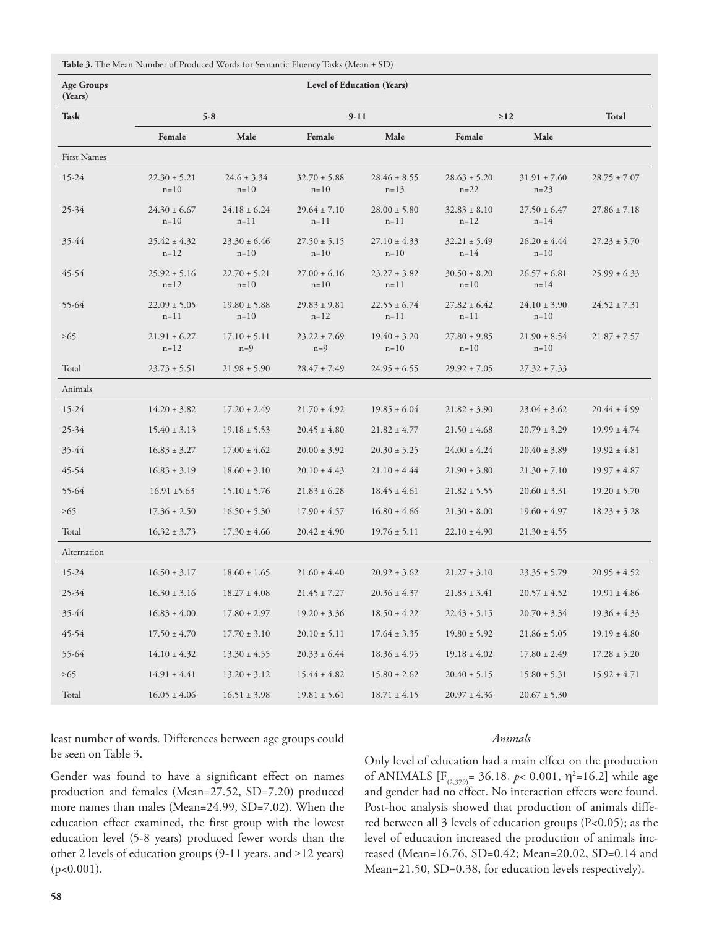| <b>Table 3.</b> The Mean Number of Produced Words for Semantic Fluency Tasks (Mean $\pm$ SD) |  |  |  |
|----------------------------------------------------------------------------------------------|--|--|--|
|----------------------------------------------------------------------------------------------|--|--|--|

| <b>Age Groups</b><br>(Years) |                              |                            |                              | Level of Education (Years)   |                              |                              |                  |
|------------------------------|------------------------------|----------------------------|------------------------------|------------------------------|------------------------------|------------------------------|------------------|
| <b>Task</b>                  |                              | $5 - 8$                    |                              | $9-11$                       |                              | $\geq 12$                    |                  |
|                              | Female                       | Male                       | Female                       | Male                         | Female                       | Male                         |                  |
| First Names                  |                              |                            |                              |                              |                              |                              |                  |
| $15 - 24$                    | $22.30 \pm 5.21$<br>$n=10$   | $24.6 \pm 3.34$<br>$n=10$  | $32.70 \pm 5.88$<br>$n=10$   | $28.46 \pm 8.55$<br>$n = 13$ | $28.63 \pm 5.20$<br>$n = 22$ | $31.91 \pm 7.60$<br>$n = 23$ | $28.75 \pm 7.07$ |
| 25-34                        | $24.30 \pm 6.67$<br>$n=10$   | $24.18 \pm 6.24$<br>$n=11$ | $29.64 \pm 7.10$<br>$n=11$   | $28.00 \pm 5.80$<br>$n=11$   | $32.83 \pm 8.10$<br>$n = 12$ | $27.50 \pm 6.47$<br>$n = 14$ | $27.86 \pm 7.18$ |
| 35-44                        | $25.42 \pm 4.32$<br>$n = 12$ | $23.30 \pm 6.46$<br>$n=10$ | $27.50 \pm 5.15$<br>$n=10$   | $27.10 \pm 4.33$<br>$n=10$   | $32.21 \pm 5.49$<br>$n = 14$ | $26.20 \pm 4.44$<br>$n=10$   | $27.23 \pm 5.70$ |
| 45-54                        | $25.92 \pm 5.16$<br>$n = 12$ | $22.70 \pm 5.21$<br>$n=10$ | $27.00 \pm 6.16$<br>$n=10$   | $23.27 \pm 3.82$<br>$n=11$   | $30.50 \pm 8.20$<br>$n=10$   | $26.57 \pm 6.81$<br>$n = 14$ | $25.99 \pm 6.33$ |
| 55-64                        | $22.09 \pm 5.05$<br>$n=11$   | $19.80 \pm 5.88$<br>$n=10$ | $29.83 \pm 9.81$<br>$n = 12$ | $22.55 \pm 6.74$<br>$n=11$   | $27.82 \pm 6.42$<br>$n=11$   | $24.10 \pm 3.90$<br>$n=10$   | $24.52 \pm 7.31$ |
| $\geq 65$                    | $21.91 \pm 6.27$<br>$n = 12$ | $17.10 \pm 5.11$<br>$n=9$  | $23.22 \pm 7.69$<br>$n=9$    | $19.40 \pm 3.20$<br>$n=10$   | $27.80 \pm 9.85$<br>$n=10$   | $21.90 \pm 8.54$<br>$n=10$   | $21.87 \pm 7.57$ |
| Total                        | $23.73 \pm 5.51$             | $21.98 \pm 5.90$           | $28.47 \pm 7.49$             | $24.95 \pm 6.55$             | $29.92 \pm 7.05$             | $27.32 \pm 7.33$             |                  |
| Animals                      |                              |                            |                              |                              |                              |                              |                  |
| 15-24                        | $14.20 \pm 3.82$             | $17.20 \pm 2.49$           | $21.70 \pm 4.92$             | $19.85 \pm 6.04$             | $21.82 \pm 3.90$             | $23.04 \pm 3.62$             | $20.44 \pm 4.99$ |
| $25 - 34$                    | $15.40 \pm 3.13$             | $19.18 \pm 5.53$           | $20.45 \pm 4.80$             | $21.82 \pm 4.77$             | $21.50 \pm 4.68$             | $20.79 \pm 3.29$             | $19.99 \pm 4.74$ |
| 35-44                        | $16.83 \pm 3.27$             | $17.00 \pm 4.62$           | $20.00 \pm 3.92$             | $20.30 \pm 5.25$             | $24.00 \pm 4.24$             | $20.40 \pm 3.89$             | $19.92 \pm 4.81$ |
| 45-54                        | $16.83 \pm 3.19$             | $18.60 \pm 3.10$           | $20.10 \pm 4.43$             | $21.10 \pm 4.44$             | $21.90 \pm 3.80$             | $21.30 \pm 7.10$             | $19.97 \pm 4.87$ |
| 55-64                        | $16.91 \pm 5.63$             | $15.10 \pm 5.76$           | $21.83 \pm 6.28$             | $18.45 \pm 4.61$             | $21.82 \pm 5.55$             | $20.60 \pm 3.31$             | $19.20 \pm 5.70$ |
| $\geq 65$                    | $17.36 \pm 2.50$             | $16.50 \pm 5.30$           | $17.90 \pm 4.57$             | $16.80 \pm 4.66$             | $21.30 \pm 8.00$             | $19.60 \pm 4.97$             | $18.23 \pm 5.28$ |
| Total                        | $16.32 \pm 3.73$             | $17.30 \pm 4.66$           | $20.42 \pm 4.90$             | $19.76 \pm 5.11$             | $22.10 \pm 4.90$             | $21.30 \pm 4.55$             |                  |
| Alternation                  |                              |                            |                              |                              |                              |                              |                  |
| $15 - 24$                    | $16.50 \pm 3.17$             | $18.60 \pm 1.65$           | $21.60 \pm 4.40$             | $20.92 \pm 3.62$             | $21.27 \pm 3.10$             | $23.35 \pm 5.79$             | $20.95 \pm 4.52$ |
| $25 - 34$                    | $16.30 \pm 3.16$             | $18.27 \pm 4.08$           | $21.45 \pm 7.27$             | $20.36 \pm 4.37$             | $21.83 \pm 3.41$             | $20.57 \pm 4.52$             | $19.91 \pm 4.86$ |
| 35-44                        | $16.83 \pm 4.00$             | $17.80 \pm 2.97$           | $19.20 \pm 3.36$             | $18.50 \pm 4.22$             | $22.43 \pm 5.15$             | $20.70 \pm 3.34$             | $19.36 \pm 4.33$ |
| 45-54                        | $17.50 \pm 4.70$             | $17.70 \pm 3.10$           | $20.10 \pm 5.11$             | $17.64 \pm 3.35$             | $19.80 \pm 5.92$             | $21.86 \pm 5.05$             | $19.19 \pm 4.80$ |
| 55-64                        | $14.10 \pm 4.32$             | $13.30 \pm 4.55$           | $20.33 \pm 6.44$             | $18.36 \pm 4.95$             | $19.18 \pm 4.02$             | $17.80 \pm 2.49$             | $17.28 \pm 5.20$ |
| $\geq 65$                    | $14.91 \pm 4.41$             | $13.20 \pm 3.12$           | $15.44 \pm 4.82$             | $15.80 \pm 2.62$             | $20.40 \pm 5.15$             | $15.80 \pm 5.31$             | $15.92 \pm 4.71$ |
| Total                        | $16.05 \pm 4.06$             | $16.51 \pm 3.98$           | $19.81\pm5.61$               | $18.71 \pm 4.15$             | $20.97 \pm 4.36$             | $20.67 \pm 5.30$             |                  |

least number of words. Differences between age groups could be seen on Table 3.

Gender was found to have a significant effect on names production and females (Mean=27.52, SD=7.20) produced more names than males (Mean=24.99, SD=7.02). When the education effect examined, the first group with the lowest education level (5-8 years) produced fewer words than the other 2 levels of education groups (9-11 years, and ≥12 years)  $(p<0.001)$ .

#### *Animals*

Only level of education had a main effect on the production of ANIMALS  $[F_{(2,379)} = 36.18, p < 0.001, \eta^2 = 16.2]$  while age and gender had no effect. No interaction effects were found. Post-hoc analysis showed that production of animals differed between all 3 levels of education groups (P<0.05); as the level of education increased the production of animals increased (Mean=16.76, SD=0.42; Mean=20.02, SD=0.14 and Mean=21.50, SD=0.38, for education levels respectively).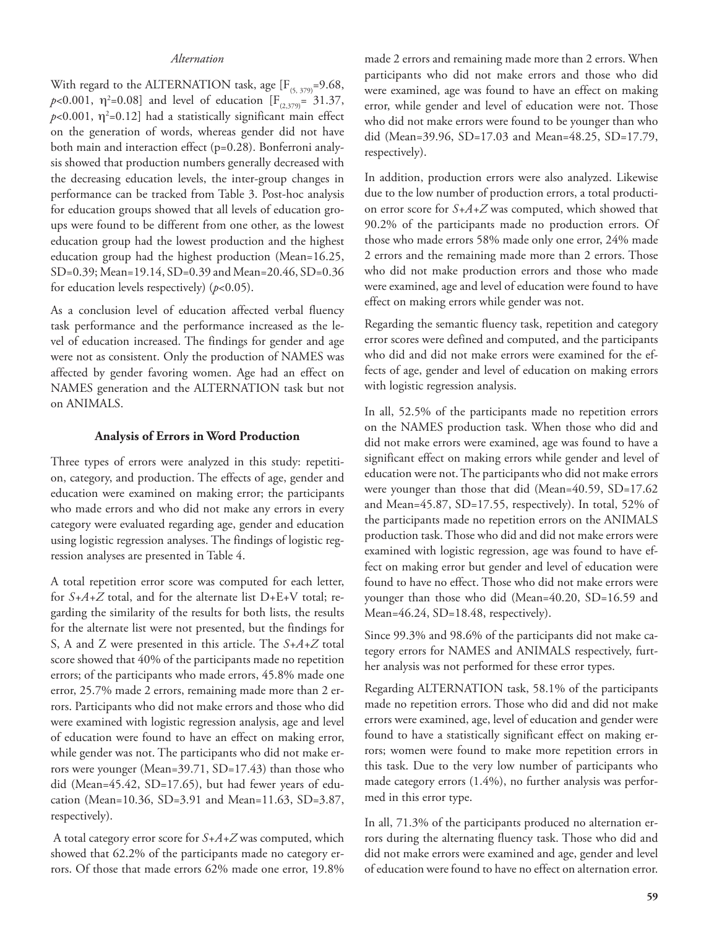## *Alternation*

With regard to the ALTERNATION task, age  $[F_{(5, 379)}=9.68$ , *p*<0.001, η<sup>2</sup>=0.08] and level of education [F<sub>(2,379)</sub>= 31.37,  $p$ <0.001,  $\eta$ <sup>2</sup>=0.12] had a statistically significant main effect on the generation of words, whereas gender did not have both main and interaction effect (p=0.28). Bonferroni analysis showed that production numbers generally decreased with the decreasing education levels, the inter-group changes in performance can be tracked from Table 3. Post-hoc analysis for education groups showed that all levels of education groups were found to be different from one other, as the lowest education group had the lowest production and the highest education group had the highest production (Mean=16.25, SD=0.39; Mean=19.14, SD=0.39 and Mean=20.46, SD=0.36 for education levels respectively) (*p*<0.05).

As a conclusion level of education affected verbal fluency task performance and the performance increased as the level of education increased. The findings for gender and age were not as consistent. Only the production of NAMES was affected by gender favoring women. Age had an effect on NAMES generation and the ALTERNATION task but not on ANIMALS.

#### **Analysis of Errors in Word Production**

Three types of errors were analyzed in this study: repetition, category, and production. The effects of age, gender and education were examined on making error; the participants who made errors and who did not make any errors in every category were evaluated regarding age, gender and education using logistic regression analyses. The findings of logistic regression analyses are presented in Table 4.

A total repetition error score was computed for each letter, for *S+A+Z* total, and for the alternate list D+E+V total; regarding the similarity of the results for both lists, the results for the alternate list were not presented, but the findings for S, A and Z were presented in this article. The *S+A+Z* total score showed that 40% of the participants made no repetition errors; of the participants who made errors, 45.8% made one error, 25.7% made 2 errors, remaining made more than 2 errors. Participants who did not make errors and those who did were examined with logistic regression analysis, age and level of education were found to have an effect on making error, while gender was not. The participants who did not make errors were younger (Mean=39.71, SD=17.43) than those who did (Mean=45.42, SD=17.65), but had fewer years of education (Mean=10.36, SD=3.91 and Mean=11.63, SD=3.87, respectively).

 A total category error score for *S+A+Z* was computed, which showed that 62.2% of the participants made no category errors. Of those that made errors 62% made one error, 19.8%

made 2 errors and remaining made more than 2 errors. When participants who did not make errors and those who did were examined, age was found to have an effect on making error, while gender and level of education were not. Those who did not make errors were found to be younger than who did (Mean=39.96, SD=17.03 and Mean=48.25, SD=17.79, respectively).

In addition, production errors were also analyzed. Likewise due to the low number of production errors, a total production error score for *S+A+Z* was computed, which showed that 90.2% of the participants made no production errors. Of those who made errors 58% made only one error, 24% made 2 errors and the remaining made more than 2 errors. Those who did not make production errors and those who made were examined, age and level of education were found to have effect on making errors while gender was not.

Regarding the semantic fluency task, repetition and category error scores were defined and computed, and the participants who did and did not make errors were examined for the effects of age, gender and level of education on making errors with logistic regression analysis.

In all, 52.5% of the participants made no repetition errors on the NAMES production task. When those who did and did not make errors were examined, age was found to have a significant effect on making errors while gender and level of education were not. The participants who did not make errors were younger than those that did (Mean=40.59, SD=17.62 and Mean=45.87, SD=17.55, respectively). In total, 52% of the participants made no repetition errors on the ANIMALS production task. Those who did and did not make errors were examined with logistic regression, age was found to have effect on making error but gender and level of education were found to have no effect. Those who did not make errors were younger than those who did (Mean=40.20, SD=16.59 and Mean=46.24, SD=18.48, respectively).

Since 99.3% and 98.6% of the participants did not make category errors for NAMES and ANIMALS respectively, further analysis was not performed for these error types.

Regarding ALTERNATION task, 58.1% of the participants made no repetition errors. Those who did and did not make errors were examined, age, level of education and gender were found to have a statistically significant effect on making errors; women were found to make more repetition errors in this task. Due to the very low number of participants who made category errors (1.4%), no further analysis was performed in this error type.

In all, 71.3% of the participants produced no alternation errors during the alternating fluency task. Those who did and did not make errors were examined and age, gender and level of education were found to have no effect on alternation error.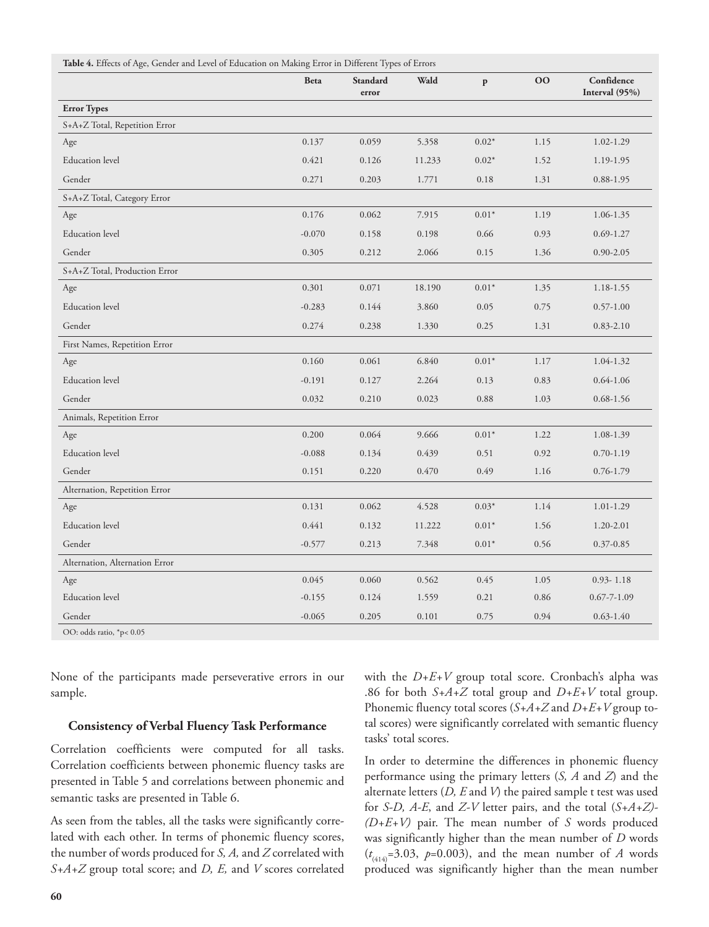|                                | <b>Beta</b> | <b>Standard</b><br>error | Wald   | $\mathbf{p}$ | 0 <sup>0</sup> | Confidence<br>Interval (95%) |
|--------------------------------|-------------|--------------------------|--------|--------------|----------------|------------------------------|
| <b>Error Types</b>             |             |                          |        |              |                |                              |
| S+A+Z Total, Repetition Error  |             |                          |        |              |                |                              |
| Age                            | 0.137       | 0.059                    | 5.358  | $0.02*$      | 1.15           | 1.02-1.29                    |
| <b>Education</b> level         | 0.421       | 0.126                    | 11.233 | $0.02*$      | 1.52           | 1.19-1.95                    |
| Gender                         | 0.271       | 0.203                    | 1.771  | 0.18         | 1.31           | $0.88 - 1.95$                |
| S+A+Z Total, Category Error    |             |                          |        |              |                |                              |
| Age                            | 0.176       | 0.062                    | 7.915  | $0.01*$      | 1.19           | 1.06-1.35                    |
| <b>Education</b> level         | $-0.070$    | 0.158                    | 0.198  | 0.66         | 0.93           | $0.69 - 1.27$                |
| Gender                         | 0.305       | 0.212                    | 2.066  | 0.15         | 1.36           | $0.90 - 2.05$                |
| S+A+Z Total, Production Error  |             |                          |        |              |                |                              |
| Age                            | 0.301       | 0.071                    | 18.190 | $0.01*$      | 1.35           | 1.18-1.55                    |
| <b>Education</b> level         | $-0.283$    | 0.144                    | 3.860  | 0.05         | 0.75           | $0.57 - 1.00$                |
| Gender                         | 0.274       | 0.238                    | 1.330  | 0.25         | 1.31           | $0.83 - 2.10$                |
| First Names, Repetition Error  |             |                          |        |              |                |                              |
| Age                            | 0.160       | 0.061                    | 6.840  | $0.01*$      | 1.17           | 1.04-1.32                    |
| <b>Education</b> level         | $-0.191$    | 0.127                    | 2.264  | 0.13         | 0.83           | $0.64 - 1.06$                |
| Gender                         | 0.032       | 0.210                    | 0.023  | 0.88         | 1.03           | $0.68 - 1.56$                |
| Animals, Repetition Error      |             |                          |        |              |                |                              |
| Age                            | 0.200       | 0.064                    | 9.666  | $0.01*$      | 1.22           | 1.08-1.39                    |
| <b>Education</b> level         | $-0.088$    | 0.134                    | 0.439  | 0.51         | 0.92           | $0.70 - 1.19$                |
| Gender                         | 0.151       | 0.220                    | 0.470  | 0.49         | 1.16           | 0.76-1.79                    |
| Alternation, Repetition Error  |             |                          |        |              |                |                              |
| Age                            | 0.131       | 0.062                    | 4.528  | $0.03*$      | 1.14           | 1.01-1.29                    |
| <b>Education</b> level         | 0.441       | 0.132                    | 11.222 | $0.01*$      | 1.56           | 1.20-2.01                    |
| Gender                         | $-0.577$    | 0.213                    | 7.348  | $0.01*$      | 0.56           | $0.37 - 0.85$                |
| Alternation, Alternation Error |             |                          |        |              |                |                              |
| Age                            | 0.045       | 0.060                    | 0.562  | 0.45         | 1.05           | $0.93 - 1.18$                |
| <b>Education</b> level         | $-0.155$    | 0.124                    | 1.559  | 0.21         | 0.86           | $0.67 - 7 - 1.09$            |
| Gender                         | $-0.065$    | 0.205                    | 0.101  | 0.75         | 0.94           | $0.63 - 1.40$                |

None of the participants made perseverative errors in our sample.

#### **Consistency of Verbal Fluency Task Performance**

Correlation coefficients were computed for all tasks. Correlation coefficients between phonemic fluency tasks are presented in Table 5 and correlations between phonemic and semantic tasks are presented in Table 6.

As seen from the tables, all the tasks were significantly correlated with each other. In terms of phonemic fluency scores, the number of words produced for *S, A,* and *Z* correlated with *S+A+Z* group total score; and *D, E,* and *V* scores correlated with the  $D+E+V$  group total score. Cronbach's alpha was .86 for both *S+A+Z* total group and *D+E+V* total group. Phonemic fluency total scores (*S+A+Z* and *D+E+V* group total scores) were significantly correlated with semantic fluency tasks' total scores.

In order to determine the differences in phonemic fluency performance using the primary letters (*S, A* and *Z*) and the alternate letters (*D, E* and *V*) the paired sample t test was used for *S-D, A-E*, and *Z-V* letter pairs, and the total (*S+A+Z)- (D+E+V)* pair. The mean number of *S* words produced was significantly higher than the mean number of *D* words  $(t_{(414)}=3.03, p=0.003)$ , and the mean number of *A* words produced was significantly higher than the mean number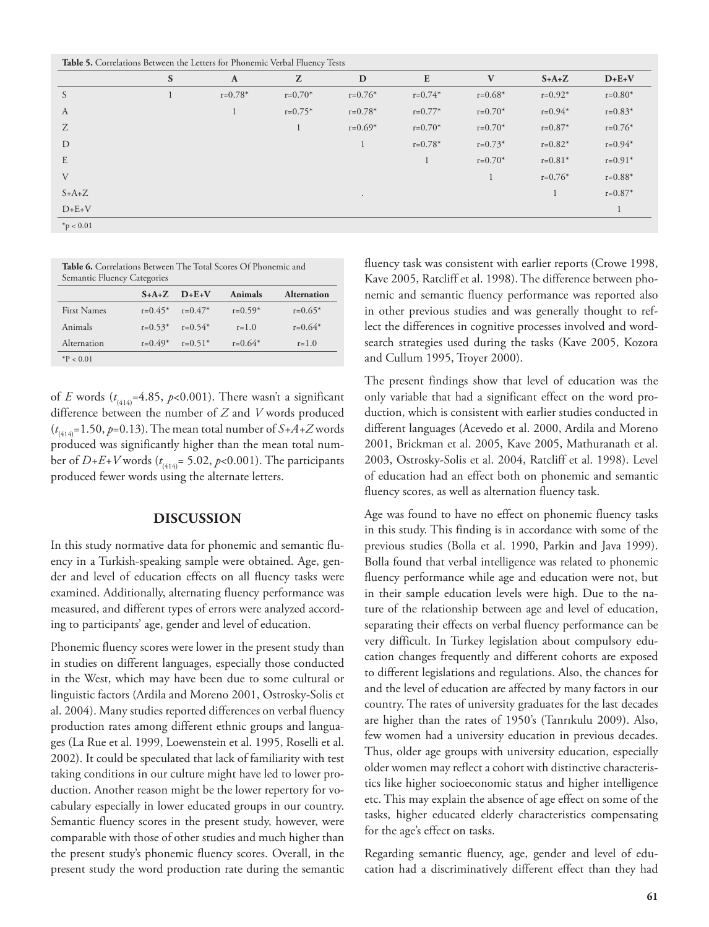**Table 5.** Correlations Between the Letters for Phonemic Verbal Fluency Tests

|                | S | $\mathbf{A}$ | $\mathbf{Z}$ | $\mathbf D$ | E           | V         | $S+A+Z$   | $D+E+V$     |
|----------------|---|--------------|--------------|-------------|-------------|-----------|-----------|-------------|
| S              |   | $r=0.78*$    | $r=0.70*$    | $r=0.76*$   | $r=0.74*$   | $r=0.68*$ | $r=0.92*$ | $r = 0.80*$ |
| A              |   | 1            | $r=0.75*$    | $r=0.78*$   | $r=0.77*$   | $r=0.70*$ | $r=0.94*$ | $r=0.83*$   |
| Z              |   |              | 1            | $r=0.69*$   | $r=0.70*$   | $r=0.70*$ | $r=0.87*$ | $r = 0.76*$ |
| D              |   |              |              | $\perp$     | $r = 0.78*$ | $r=0.73*$ | $r=0.82*$ | $r=0.94*$   |
| E              |   |              |              |             | 1           | $r=0.70*$ | $r=0.81*$ | $r=0.91*$   |
| V              |   |              |              |             |             | 1         | $r=0.76*$ | $r=0.88*$   |
| $S+A+Z$        |   |              |              | $\bullet$   |             |           | п         | $r=0.87*$   |
| $D+E+V$        |   |              |              |             |             |           |           |             |
| $*_{p}$ < 0.01 |   |              |              |             |             |           |           |             |

| <b>Table 6.</b> Correlations Between The Total Scores Of Phonemic and |  |
|-----------------------------------------------------------------------|--|
| Semantic Fluency Categories                                           |  |

|                    | $S+A+Z$   | $D+E+V$               | Animals   | <b>Alternation</b> |
|--------------------|-----------|-----------------------|-----------|--------------------|
| <b>First Names</b> |           | $r=0.45^*$ $r=0.47^*$ | $r=0.59*$ | $r=0.65*$          |
| Animals            |           | $r=0.53^*$ $r=0.54^*$ | $r=1.0$   | $r=0.64*$          |
| Alternation        | $r=0.49*$ | $r=0.51*$             | $r=0.64*$ | $r = 1.0$          |
| $*P < 0.01$        |           |                       |           |                    |

of *E* words (*t* (414)=4.85, *p*<0.001). There wasn't a significant difference between the number of *Z* and *V* words produced  $(t_{(414)} = 1.50, p = 0.13)$ . The mean total number of *S*+*A*+*Z* words produced was significantly higher than the mean total number of *D+E+V* words (*t* (414)= 5.02, *p*<0.001). The participants produced fewer words using the alternate letters.

## **DISCUSSION**

In this study normative data for phonemic and semantic fluency in a Turkish-speaking sample were obtained. Age, gender and level of education effects on all fluency tasks were examined. Additionally, alternating fluency performance was measured, and different types of errors were analyzed according to participants' age, gender and level of education.

Phonemic fluency scores were lower in the present study than in studies on different languages, especially those conducted in the West, which may have been due to some cultural or linguistic factors (Ardila and Moreno 2001, Ostrosky-Solis et al. 2004). Many studies reported differences on verbal fluency production rates among different ethnic groups and languages (La Rue et al. 1999, Loewenstein et al. 1995, Roselli et al. 2002). It could be speculated that lack of familiarity with test taking conditions in our culture might have led to lower production. Another reason might be the lower repertory for vocabulary especially in lower educated groups in our country. Semantic fluency scores in the present study, however, were comparable with those of other studies and much higher than the present study's phonemic fluency scores. Overall, in the present study the word production rate during the semantic

fluency task was consistent with earlier reports (Crowe 1998, Kave 2005, Ratcliff et al. 1998). The difference between phonemic and semantic fluency performance was reported also in other previous studies and was generally thought to reflect the differences in cognitive processes involved and wordsearch strategies used during the tasks (Kave 2005, Kozora and Cullum 1995, Troyer 2000).

The present findings show that level of education was the only variable that had a significant effect on the word production, which is consistent with earlier studies conducted in different languages (Acevedo et al. 2000, Ardila and Moreno 2001, Brickman et al. 2005, Kave 2005, Mathuranath et al. 2003, Ostrosky-Solis et al. 2004, Ratcliff et al. 1998). Level of education had an effect both on phonemic and semantic fluency scores, as well as alternation fluency task.

Age was found to have no effect on phonemic fluency tasks in this study. This finding is in accordance with some of the previous studies (Bolla et al. 1990, Parkin and Java 1999). Bolla found that verbal intelligence was related to phonemic fluency performance while age and education were not, but in their sample education levels were high. Due to the nature of the relationship between age and level of education, separating their effects on verbal fluency performance can be very difficult. In Turkey legislation about compulsory education changes frequently and different cohorts are exposed to different legislations and regulations. Also, the chances for and the level of education are affected by many factors in our country. The rates of university graduates for the last decades are higher than the rates of 1950's (Tanrıkulu 2009). Also, few women had a university education in previous decades. Thus, older age groups with university education, especially older women may reflect a cohort with distinctive characteristics like higher socioeconomic status and higher intelligence etc. This may explain the absence of age effect on some of the tasks, higher educated elderly characteristics compensating for the age's effect on tasks.

Regarding semantic fluency, age, gender and level of education had a discriminatively different effect than they had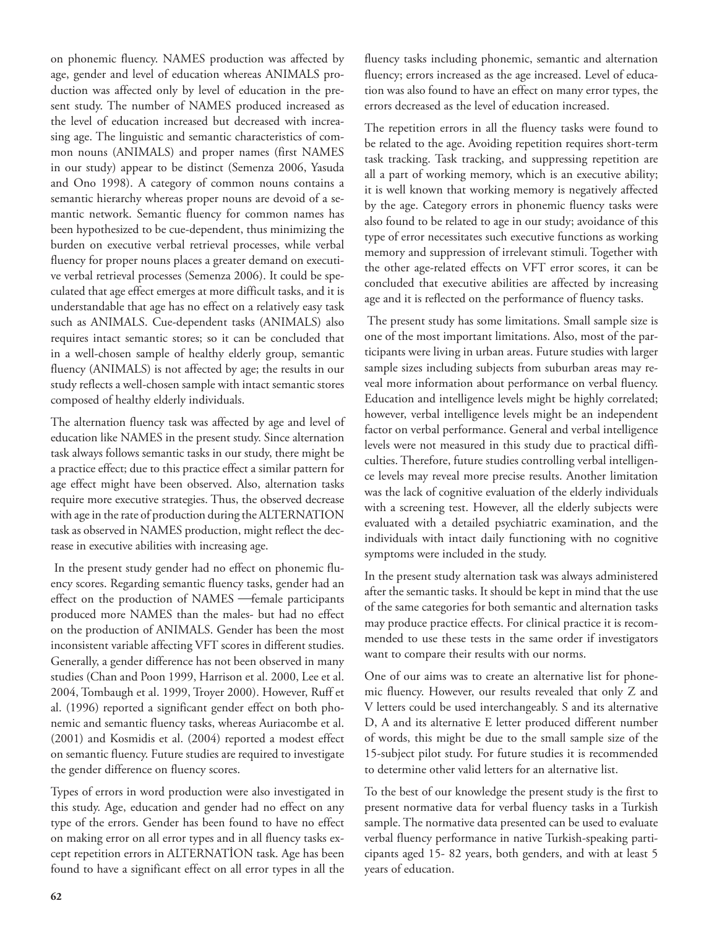on phonemic fluency. NAMES production was affected by age, gender and level of education whereas ANIMALS production was affected only by level of education in the present study. The number of NAMES produced increased as the level of education increased but decreased with increasing age. The linguistic and semantic characteristics of common nouns (ANIMALS) and proper names (first NAMES in our study) appear to be distinct (Semenza 2006, Yasuda and Ono 1998). A category of common nouns contains a semantic hierarchy whereas proper nouns are devoid of a semantic network. Semantic fluency for common names has been hypothesized to be cue-dependent, thus minimizing the burden on executive verbal retrieval processes, while verbal fluency for proper nouns places a greater demand on executive verbal retrieval processes (Semenza 2006). It could be speculated that age effect emerges at more difficult tasks, and it is understandable that age has no effect on a relatively easy task such as ANIMALS. Cue-dependent tasks (ANIMALS) also requires intact semantic stores; so it can be concluded that in a well-chosen sample of healthy elderly group, semantic fluency (ANIMALS) is not affected by age; the results in our study reflects a well-chosen sample with intact semantic stores composed of healthy elderly individuals.

The alternation fluency task was affected by age and level of education like NAMES in the present study. Since alternation task always follows semantic tasks in our study, there might be a practice effect; due to this practice effect a similar pattern for age effect might have been observed. Also, alternation tasks require more executive strategies. Thus, the observed decrease with age in the rate of production during the ALTERNATION task as observed in NAMES production, might reflect the decrease in executive abilities with increasing age.

 In the present study gender had no effect on phonemic fluency scores. Regarding semantic fluency tasks, gender had an effect on the production of NAMES - female participants produced more NAMES than the males- but had no effect on the production of ANIMALS. Gender has been the most inconsistent variable affecting VFT scores in different studies. Generally, a gender difference has not been observed in many studies (Chan and Poon 1999, Harrison et al. 2000, Lee et al. 2004, Tombaugh et al. 1999, Troyer 2000). However, Ruff et al. (1996) reported a significant gender effect on both phonemic and semantic fluency tasks, whereas Auriacombe et al. (2001) and Kosmidis et al. (2004) reported a modest effect on semantic fluency. Future studies are required to investigate the gender difference on fluency scores.

Types of errors in word production were also investigated in this study. Age, education and gender had no effect on any type of the errors. Gender has been found to have no effect on making error on all error types and in all fluency tasks except repetition errors in ALTERNATİON task. Age has been found to have a significant effect on all error types in all the

fluency tasks including phonemic, semantic and alternation fluency; errors increased as the age increased. Level of education was also found to have an effect on many error types, the errors decreased as the level of education increased.

The repetition errors in all the fluency tasks were found to be related to the age. Avoiding repetition requires short-term task tracking. Task tracking, and suppressing repetition are all a part of working memory, which is an executive ability; it is well known that working memory is negatively affected by the age. Category errors in phonemic fluency tasks were also found to be related to age in our study; avoidance of this type of error necessitates such executive functions as working memory and suppression of irrelevant stimuli. Together with the other age-related effects on VFT error scores, it can be concluded that executive abilities are affected by increasing age and it is reflected on the performance of fluency tasks.

 The present study has some limitations. Small sample size is one of the most important limitations. Also, most of the participants were living in urban areas. Future studies with larger sample sizes including subjects from suburban areas may reveal more information about performance on verbal fluency. Education and intelligence levels might be highly correlated; however, verbal intelligence levels might be an independent factor on verbal performance. General and verbal intelligence levels were not measured in this study due to practical difficulties. Therefore, future studies controlling verbal intelligence levels may reveal more precise results. Another limitation was the lack of cognitive evaluation of the elderly individuals with a screening test. However, all the elderly subjects were evaluated with a detailed psychiatric examination, and the individuals with intact daily functioning with no cognitive symptoms were included in the study.

In the present study alternation task was always administered after the semantic tasks. It should be kept in mind that the use of the same categories for both semantic and alternation tasks may produce practice effects. For clinical practice it is recommended to use these tests in the same order if investigators want to compare their results with our norms.

One of our aims was to create an alternative list for phonemic fluency. However, our results revealed that only Z and V letters could be used interchangeably. S and its alternative D, A and its alternative E letter produced different number of words, this might be due to the small sample size of the 15-subject pilot study. For future studies it is recommended to determine other valid letters for an alternative list.

To the best of our knowledge the present study is the first to present normative data for verbal fluency tasks in a Turkish sample. The normative data presented can be used to evaluate verbal fluency performance in native Turkish-speaking participants aged 15- 82 years, both genders, and with at least 5 years of education.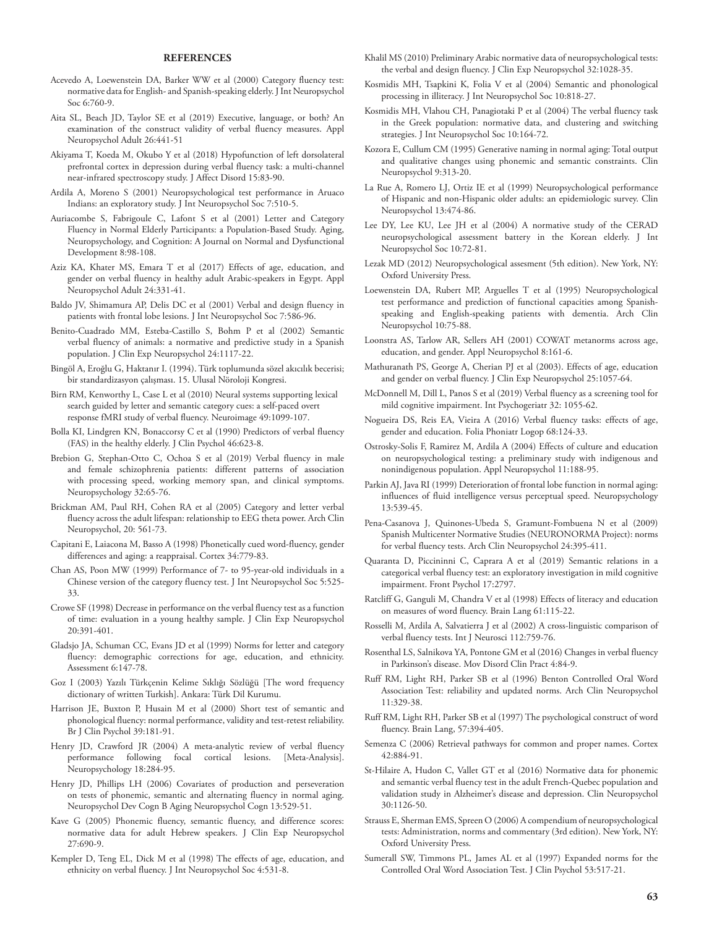#### **REFERENCES**

- Acevedo A, Loewenstein DA, Barker WW et al (2000) Category fluency test: normative data for English- and Spanish-speaking elderly. J Int Neuropsychol Soc 6:760-9.
- Aita SL, Beach JD, Taylor SE et al (2019) Executive, language, or both? An examination of the construct validity of verbal fluency measures. Appl Neuropsychol Adult 26:441-51
- Akiyama T, Koeda M, Okubo Y et al (2018) Hypofunction of left dorsolateral prefrontal cortex in depression during verbal fluency task: a multi-channel near-infrared spectroscopy study. J Affect Disord 15:83-90.
- Ardila A, Moreno S (2001) Neuropsychological test performance in Aruaco Indians: an exploratory study. J Int Neuropsychol Soc 7:510-5.
- Auriacombe S, Fabrigoule C, Lafont S et al (2001) Letter and Category Fluency in Normal Elderly Participants: a Population-Based Study. Aging, Neuropsychology, and Cognition: A Journal on Normal and Dysfunctional Development 8:98-108.
- Aziz KA, Khater MS, Emara T et al (2017) Effects of age, education, and gender on verbal fluency in healthy adult Arabic-speakers in Egypt. Appl Neuropsychol Adult 24:331-41.
- Baldo JV, Shimamura AP, Delis DC et al (2001) Verbal and design fluency in patients with frontal lobe lesions. J Int Neuropsychol Soc 7:586-96.
- Benito-Cuadrado MM, Esteba-Castillo S, Bohm P et al (2002) Semantic verbal fluency of animals: a normative and predictive study in a Spanish population. J Clin Exp Neuropsychol 24:1117-22.
- Bingöl A, Eroğlu G, Haktanır I. (1994). Türk toplumunda sözel akıcılık becerisi; bir standardizasyon çalışması. 15. Ulusal Nöroloji Kongresi.
- Birn RM, Kenworthy L, Case L et al (2010) Neural systems supporting lexical search guided by letter and semantic category cues: a self-paced overt response fMRI study of verbal fluency. Neuroimage 49:1099-107.
- Bolla KI, Lindgren KN, Bonaccorsy C et al (1990) Predictors of verbal fluency (FAS) in the healthy elderly. J Clin Psychol 46:623-8.
- Brebion G, Stephan-Otto C, Ochoa S et al (2019) Verbal fluency in male and female schizophrenia patients: different patterns of association with processing speed, working memory span, and clinical symptoms. Neuropsychology 32:65-76.
- Brickman AM, Paul RH, Cohen RA et al (2005) Category and letter verbal fluency across the adult lifespan: relationship to EEG theta power. Arch Clin Neuropsychol, 20: 561-73.
- Capitani E, Laiacona M, Basso A (1998) Phonetically cued word-fluency, gender differences and aging: a reappraisal. Cortex 34:779-83.
- Chan AS, Poon MW (1999) Performance of 7- to 95-year-old individuals in a Chinese version of the category fluency test. J Int Neuropsychol Soc 5:525- 33.
- Crowe SF (1998) Decrease in performance on the verbal fluency test as a function of time: evaluation in a young healthy sample. J Clin Exp Neuropsychol 20:391-401.
- Gladsjo JA, Schuman CC, Evans JD et al (1999) Norms for letter and category fluency: demographic corrections for age, education, and ethnicity. Assessment 6:147-78.
- Goz I (2003) Yazılı Türkçenin Kelime Sıklığı Sözlüğü [The word frequency dictionary of written Turkish]. Ankara: Türk Dil Kurumu.
- Harrison JE, Buxton P, Husain M et al (2000) Short test of semantic and phonological fluency: normal performance, validity and test-retest reliability. Br J Clin Psychol 39:181-91.
- Henry JD, Crawford JR (2004) A meta-analytic review of verbal fluency performance following focal cortical lesions. [Meta-Analysis]. Neuropsychology 18:284-95.
- Henry JD, Phillips LH (2006) Covariates of production and perseveration on tests of phonemic, semantic and alternating fluency in normal aging. Neuropsychol Dev Cogn B Aging Neuropsychol Cogn 13:529-51.
- Kave G (2005) Phonemic fluency, semantic fluency, and difference scores: normative data for adult Hebrew speakers. J Clin Exp Neuropsychol 27:690-9.
- Kempler D, Teng EL, Dick M et al (1998) The effects of age, education, and ethnicity on verbal fluency. J Int Neuropsychol Soc 4:531-8.
- Khalil MS (2010) Preliminary Arabic normative data of neuropsychological tests: the verbal and design fluency. J Clin Exp Neuropsychol 32:1028-35.
- Kosmidis MH, Tsapkini K, Folia V et al (2004) Semantic and phonological processing in illiteracy. J Int Neuropsychol Soc 10:818-27.
- Kosmidis MH, Vlahou CH, Panagiotaki P et al (2004) The verbal fluency task in the Greek population: normative data, and clustering and switching strategies. J Int Neuropsychol Soc 10:164-72.
- Kozora E, Cullum CM (1995) Generative naming in normal aging: Total output and qualitative changes using phonemic and semantic constraints. Clin Neuropsychol 9:313-20.
- La Rue A, Romero LJ, Ortiz IE et al (1999) Neuropsychological performance of Hispanic and non-Hispanic older adults: an epidemiologic survey. Clin Neuropsychol 13:474-86.
- Lee DY, Lee KU, Lee JH et al (2004) A normative study of the CERAD neuropsychological assessment battery in the Korean elderly. J Int Neuropsychol Soc 10:72-81.
- Lezak MD (2012) Neuropsychological assesment (5th edition). New York, NY: Oxford University Press.
- Loewenstein DA, Rubert MP, Arguelles T et al (1995) Neuropsychological test performance and prediction of functional capacities among Spanishspeaking and English-speaking patients with dementia. Arch Clin Neuropsychol 10:75-88.
- Loonstra AS, Tarlow AR, Sellers AH (2001) COWAT metanorms across age, education, and gender. Appl Neuropsychol 8:161-6.
- Mathuranath PS, George A, Cherian PJ et al (2003). Effects of age, education and gender on verbal fluency. J Clin Exp Neuropsychol 25:1057-64.
- McDonnell M, Dill L, Panos S et al (2019) Verbal fluency as a screening tool for mild cognitive impairment. Int Psychogeriatr 32: 1055-62.
- Nogueira DS, Reis EA, Vieira A (2016) Verbal fluency tasks: effects of age, gender and education. Folia Phoniatr Logop 68:124-33.
- Ostrosky-Solis F, Ramirez M, Ardila A (2004) Effects of culture and education on neuropsychological testing: a preliminary study with indigenous and nonindigenous population. Appl Neuropsychol 11:188-95.
- Parkin AJ, Java RI (1999) Deterioration of frontal lobe function in normal aging: influences of fluid intelligence versus perceptual speed. Neuropsychology 13:539-45.
- Pena-Casanova J, Quinones-Ubeda S, Gramunt-Fombuena N et al (2009) Spanish Multicenter Normative Studies (NEURONORMA Project): norms for verbal fluency tests. Arch Clin Neuropsychol 24:395-411.
- Quaranta D, Piccininni C, Caprara A et al (2019) Semantic relations in a categorical verbal fluency test: an exploratory investigation in mild cognitive impairment. Front Psychol 17:2797.
- Ratcliff G, Ganguli M, Chandra V et al (1998) Effects of literacy and education on measures of word fluency. Brain Lang 61:115-22.
- Rosselli M, Ardila A, Salvatierra J et al (2002) A cross-linguistic comparison of verbal fluency tests. Int J Neurosci 112:759-76.
- Rosenthal LS, Salnikova YA, Pontone GM et al (2016) Changes in verbal fluency in Parkinson's disease. Mov Disord Clin Pract 4:84-9.
- Ruff RM, Light RH, Parker SB et al (1996) Benton Controlled Oral Word Association Test: reliability and updated norms. Arch Clin Neuropsychol 11:329-38.
- Ruff RM, Light RH, Parker SB et al (1997) The psychological construct of word fluency. Brain Lang, 57:394-405.
- Semenza C (2006) Retrieval pathways for common and proper names. Cortex 42:884-91.
- St-Hilaire A, Hudon C, Vallet GT et al (2016) Normative data for phonemic and semantic verbal fluency test in the adult French-Quebec population and validation study in Alzheimer's disease and depression. Clin Neuropsychol 30:1126-50.
- Strauss E, Sherman EMS, Spreen O (2006) A compendium of neuropsychological tests: Administration, norms and commentary (3rd edition). New York, NY: Oxford University Press.
- Sumerall SW, Timmons PL, James AL et al (1997) Expanded norms for the Controlled Oral Word Association Test. J Clin Psychol 53:517-21.